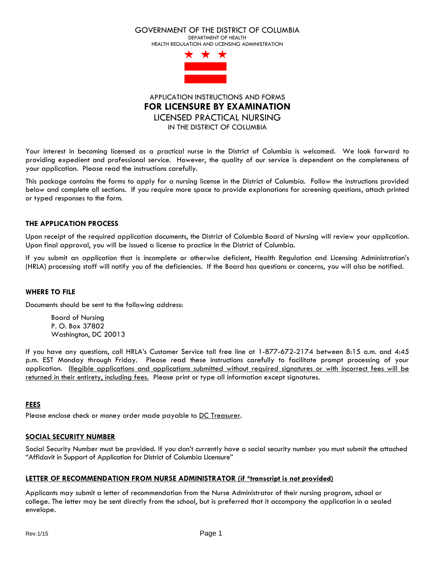#### GOVERNMENT OF THE DISTRICT OF COLUMBIA

DEPARTMENT OF HEALTH HEALTH REGULATION AND LICENSING ADMINISTRATION



APPLICATION INSTRUCTIONS AND FORMS **FOR LICENSURE BY EXAMINATION** LICENSED PRACTICAL NURSING IN THE DISTRICT OF COLUMBIA

Your interest in becoming licensed as a practical nurse in the District of Columbia is welcomed. We look forward to providing expedient and professional service. However, the quality of our service is dependent on the completeness of your application. Please read the instructions carefully.

This package contains the forms to apply for a nursing license in the District of Columbia. Follow the instructions provided below and complete all sections. If you require more space to provide explanations for screening questions, attach printed or typed responses to the form.

# **THE APPLICATION PROCESS**

Upon receipt of the required application documents, the District of Columbia Board of Nursing will review your application. Upon final approval, you will be issued a license to practice in the District of Columbia.

If you submit an application that is incomplete or otherwise deficient, Health Regulation and Licensing Administration's (HRLA) processing staff will notify you of the deficiencies. If the Board has questions or concerns, you will also be notified.

# **WHERE TO FILE**

Documents should be sent to the following address:

Board of Nursing P. O. Box 37802 Washington, DC 20013

If you have any questions, call HRLA's Customer Service toll free line at 1-877-672-2174 between 8:15 a.m. and 4:45 p.m. EST Monday through Friday. Please read these instructions carefully to facilitate prompt processing of your application. Illegible applications and applications submitted without required signatures or with incorrect fees will be returned in their entirety, including fees. Please print or type all information except signatures.

## **FEES**

Please enclose check or money order made payable to DC Treasurer.

# **SOCIAL SECURITY NUMBER**

Social Security Number must be provided. If you don't currently have a social security number you must submit the attached "Affidavit in Support of Application for District of Columbia Licensure"

# **LETTER OF RECOMMENDATION FROM NURSE ADMINISTRATOR (if \*transcript is not provided)**

Applicants may submit a letter of recommendation from the Nurse Administrator of their nursing program, school or college. The letter may be sent directly from the school, but is preferred that it accompany the application in a sealed envelope.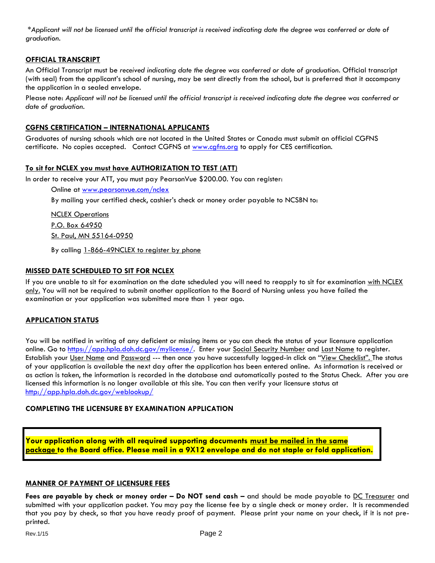\**Applicant will not be licensed until the official transcript is received indicating date the degree was conferred or date of graduation.*

# **OFFICIAL TRANSCRIPT**

An Official Transcript must be *received indicating date the degree was conferred or date of graduation.* Official transcript (with seal) from the applicant's school of nursing, may be sent directly from the school, but is preferred that it accompany the application in a sealed envelope.

Please note: *Applicant will not be licensed until the official transcript is received indicating date the degree was conferred or date of graduation.*

# **CGFNS CERTIFICATION – INTERNATIONAL APPLICANTS**

Graduates of nursing schools which are not located in the United States or Canada must submit an official CGFNS certificate. No copies accepted. Contact CGFNS at [www.cgfns.org](http://www.cgfns.org/) to apply for CES certification.

# **To sit for NCLEX you must have AUTHORIZATION TO TEST (ATT)**

In order to receive your ATT, you must pay PearsonVue \$200.00. You can register:

Online at [www.pearsonvue.com/nclex](http://www.pearsonvue.com/nclex) 

By mailing your certified check, cashier's check or money order payable to NCSBN to:

**NCLEX Operations** P.O. Box 64950 St. Paul, MN 55164-0950

By calling 1-866-49NCLEX to register by phone

# **MISSED DATE SCHEDULED TO SIT FOR NCLEX**

If you are unable to sit for examination on the date scheduled you will need to reapply to sit for examination with NCLEX only. You will not be required to submit another application to the Board of Nursing unless you have failed the examination or your application was submitted more than 1 year ago.

# **APPLICATION STATUS**

You will be notified in writing of any deficient or missing items or you can check the status of your licensure application online. Go to [https://app.hpla.doh.dc.gov/mylicense/.](https://app.hpla.doh.dc.gov/mylicense/) Enter your Social Security Number and Last Name to register. Establish your User Name and Password --- then once you have successfully logged-in click on "View Checklist". The status of your application is available the next day after the application has been entered online. As information is received or as action is taken, the information is recorded in the database and automatically posted to the Status Check. After you are licensed this information is no longer available at this site. You can then verify your licensure status at <http://app.hpla.doh.dc.gov/weblookup/>

# **COMPLETING THE LICENSURE BY EXAMINATION APPLICATION**

**Your application along with all required supporting documents must be mailed in the same package to the Board office. Please mail in a 9X12 envelope and do not staple or fold application.**

# **MANNER OF PAYMENT OF LICENSURE FEES**

**Fees are payable by check or money order – Do NOT send cash –** and should be made payable to DC Treasurer and submitted with your application packet. You may pay the license fee by a single check or money order. It is recommended that you pay by check, so that you have ready proof of payment. Please print your name on your check, if it is not preprinted.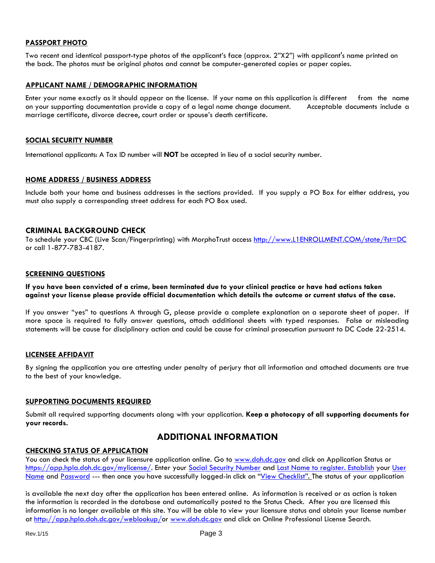## **PASSPORT PHOTO**

Two recent and identical passport-type photos of the applicant's face (approx. 2"X2") with applicant's name printed on the back. The photos must be original photos and cannot be computer-generated copies or paper copies.

#### **APPLICANT NAME / DEMOGRAPHIC INFORMATION**

Enter your name exactly as it should appear on the license. If your name on this application is different from the name on your supporting documentation provide a copy of a legal name change document. Acceptable documents include a marriage certificate, divorce decree, court order or spouse's death certificate.

#### **SOCIAL SECURITY NUMBER**

International applicants: A Tax ID number will **NOT** be accepted in lieu of a social security number.

## **HOME ADDRESS / BUSINESS ADDRESS**

Include both your home and business addresses in the sections provided. If you supply a PO Box for either address, you must also supply a corresponding street address for each PO Box used.

## **CRIMINAL BACKGROUND CHECK**

To schedule your CBC (Live Scan/Fingerprinting) with MorphoTrust access [http://www.L1ENROLLMENT.COM/state/?st=DC](http://www.l1enrollment.com/state/?st=DC) or call 1-877-783-4187.

#### **SCREENING QUESTIONS**

**If you have been convicted of a crime, been terminated due to your clinical practice or have had actions taken against your license please provide official documentation which details the outcome or current status of the case.** 

If you answer "yes" to questions A through G, please provide a complete explanation on a separate sheet of paper. If more space is required to fully answer questions, attach additional sheets with typed responses. False or misleading statements will be cause for disciplinary action and could be cause for criminal prosecution pursuant to DC Code 22-2514.

#### **LICENSEE AFFIDAVIT**

By signing the application you are attesting under penalty of perjury that all information and attached documents are true to the best of your knowledge.

#### **SUPPORTING DOCUMENTS REQUIRED**

Submit all required supporting documents along with your application. **Keep a photocopy of all supporting documents for your records.**

# **ADDITIONAL INFORMATION**

## **CHECKING STATUS OF APPLICATION**

You can check the status of your licensure application online. Go to [www.doh.dc.gov](http://www.doh.dc.gov/) and click on Application Status or [https://app.hpla.doh.dc.gov/mylicense/.](https://app.hpla.doh.dc.gov/mylicense/) Enter your Social Security Number and Last Name to register. Establish your User Name and Password --- then once you have successfully logged-in click on "View Checklist". The status of your application

is available the next day after the application has been entered online. As information is received or as action is taken the information is recorded in the database and automatically posted to the Status Check. After you are licensed this information is no longer available at this site. You will be able to view your licensure status and obtain your license number at [http://app.hpla.doh.dc.gov/weblookup/o](http://app.hpla.doh.dc.gov/weblookup/)r [www.doh.dc.gov](http://www.doh.dc.gov/) and click on Online Professional License Search.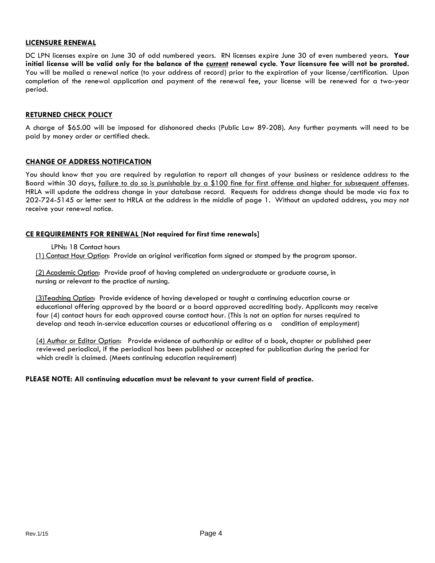#### **LICENSURE RENEWAL**

DC LPN licenses expire on June 30 of odd numbered years. RN licenses expire June 30 of even numbered years. **Your initial license will be valid only for the balance of the current renewal cycle**. **Your licensure fee will not be prorated.** You will be mailed a renewal notice (to your address of record) prior to the expiration of your license/certification. Upon completion of the renewal application and payment of the renewal fee, your license will be renewed for a two-year period.

## **RETURNED CHECK POLICY**

A charge of \$65.00 will be imposed for dishonored checks (Public Law 89-208). Any further payments will need to be paid by money order or certified check.

## **CHANGE OF ADDRESS NOTIFICATION**

You should know that you are required by regulation to report all changes of your business or residence address to the Board within 30 days, failure to do so is punishable by a \$100 fine for first offense and higher for subsequent offenses. HRLA will update the address change in your database record. Requests for address change should be made via fax to 202-724-5145 or letter sent to HRLA at the address in the middle of page 1. Without an updated address, you may not receive your renewal notice.

## **CE REQUIREMENTS FOR RENEWAL [Not required for first time renewals]**

LPNs: 18 Contact hours

(1) Contact Hour Option: Provide an original verification form signed or stamped by the program sponsor.

 (2) Academic Option: Provide proof of having completed an undergraduate or graduate course, in nursing or relevant to the practice of nursing.

 (3)Teaching Option: Provide evidence of having developed or taught a continuing education course or educational offering approved by the board or a board approved accrediting body. Applicants may receive four (4) contact hours for each approved course contact hour. (This is not an option for nurses required to develop and teach in-service education courses or educational offering as a condition of employment)

 (4) Author or Editor Option: Provide evidence of authorship or editor of a book, chapter or published peer reviewed periodical, if the periodical has been published or accepted for publication during the period for which credit is claimed. (Meets continuing education requirement)

## **PLEASE NOTE: All continuing education must be relevant to your current field of practice.**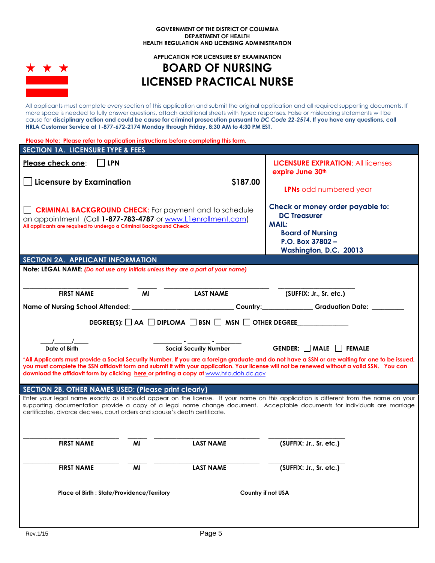#### **GOVERNMENT OF THE DISTRICT OF COLUMBIA DEPARTMENT OF HEALTH HEALTH REGULATION AND LICENSING ADMINISTRATION**



#### **APPLICATION FOR LICENSURE BY EXAMINATION**

# **BOARD OF NURSING LICENSED PRACTICAL NURSE**

All applicants must complete every section of this application and submit the original application and all required supporting documents. If more space is needed to fully answer questions, attach additional sheets with typed responses. False or misleading statements will be cause for **disciplinary action and could be cause for criminal prosecution pursuant to** *DC Code 22-2514***. If you have any questions, call HRLA Customer Service at 1-877-672-2174 Monday through Friday, 8:30 AM to 4:30 PM EST.** 

| Please Note: Please refer to application instructions before completing this form.                                                                                                                                                                                                                                                                                                       |            |                                                                                 |          |                                                                                                                                       |  |  |  |  |
|------------------------------------------------------------------------------------------------------------------------------------------------------------------------------------------------------------------------------------------------------------------------------------------------------------------------------------------------------------------------------------------|------------|---------------------------------------------------------------------------------|----------|---------------------------------------------------------------------------------------------------------------------------------------|--|--|--|--|
| <b>SECTION 1A. LICENSURE TYPE &amp; FEES</b>                                                                                                                                                                                                                                                                                                                                             |            |                                                                                 |          |                                                                                                                                       |  |  |  |  |
| Please check one:                                                                                                                                                                                                                                                                                                                                                                        | <b>LPN</b> |                                                                                 |          | <b>LICENSURE EXPIRATION: All licenses</b><br>expire June 30th                                                                         |  |  |  |  |
| <b>Licensure by Examination</b>                                                                                                                                                                                                                                                                                                                                                          |            |                                                                                 | \$187.00 |                                                                                                                                       |  |  |  |  |
|                                                                                                                                                                                                                                                                                                                                                                                          |            |                                                                                 |          | <b>LPNs</b> odd numbered year                                                                                                         |  |  |  |  |
| <b>CRIMINAL BACKGROUND CHECK:</b> For payment and to schedule<br>an appointment (Call 1-877-783-4787 or www.Llenrollment.com)<br>All applicants are required to undergo a Criminal Background Check                                                                                                                                                                                      |            |                                                                                 |          | Check or money order payable to:<br><b>DC Treasurer</b><br><b>MAIL:</b>                                                               |  |  |  |  |
|                                                                                                                                                                                                                                                                                                                                                                                          |            |                                                                                 |          | <b>Board of Nursing</b>                                                                                                               |  |  |  |  |
|                                                                                                                                                                                                                                                                                                                                                                                          |            |                                                                                 |          | P.O. Box 37802 -                                                                                                                      |  |  |  |  |
| SECTION 2A. APPLICANT INFORMATION                                                                                                                                                                                                                                                                                                                                                        |            |                                                                                 |          | Washington, D.C. 20013                                                                                                                |  |  |  |  |
|                                                                                                                                                                                                                                                                                                                                                                                          |            | Note: LEGAL NAME: (Do not use any initials unless they are a part of your name) |          |                                                                                                                                       |  |  |  |  |
|                                                                                                                                                                                                                                                                                                                                                                                          |            |                                                                                 |          |                                                                                                                                       |  |  |  |  |
|                                                                                                                                                                                                                                                                                                                                                                                          |            |                                                                                 |          |                                                                                                                                       |  |  |  |  |
| <b>FIRST NAME</b>                                                                                                                                                                                                                                                                                                                                                                        |            | MI<br><b>LAST NAME</b>                                                          |          | (SUFFIX: Jr., Sr. etc.)                                                                                                               |  |  |  |  |
|                                                                                                                                                                                                                                                                                                                                                                                          |            |                                                                                 |          | Name of Nursing School Attended: ___________________________Country:___________Graduation Date: _______                               |  |  |  |  |
|                                                                                                                                                                                                                                                                                                                                                                                          |            |                                                                                 |          |                                                                                                                                       |  |  |  |  |
|                                                                                                                                                                                                                                                                                                                                                                                          |            | DEGREE(S): $\Box$ AA $\Box$ DIPLOMA $\Box$ BSN $\Box$ MSN $\Box$ OTHER DEGREE   |          |                                                                                                                                       |  |  |  |  |
|                                                                                                                                                                                                                                                                                                                                                                                          |            |                                                                                 |          |                                                                                                                                       |  |  |  |  |
|                                                                                                                                                                                                                                                                                                                                                                                          |            |                                                                                 |          |                                                                                                                                       |  |  |  |  |
| Date of Birth                                                                                                                                                                                                                                                                                                                                                                            |            | <b>Social Security Number</b>                                                   |          | GENDER: MALE FEMALE                                                                                                                   |  |  |  |  |
| *All Applicants must provide a Social Security Number. If you are a foreign graduate and do not have a SSN or are waiting for one to be issued,<br>you must complete the SSN affidavit form and submit it with your application. Your license will not be renewed without a valid SSN. You can<br>download the affidavit form by clicking here or printing a copy at www.hrla.doh.dc.gov |            |                                                                                 |          |                                                                                                                                       |  |  |  |  |
| <b>SECTION 2B. OTHER NAMES USED: (Please print clearly)</b>                                                                                                                                                                                                                                                                                                                              |            |                                                                                 |          |                                                                                                                                       |  |  |  |  |
|                                                                                                                                                                                                                                                                                                                                                                                          |            |                                                                                 |          | Enter your legal name exactly as it should appear on the license. If your name on this application is different from the name on your |  |  |  |  |
|                                                                                                                                                                                                                                                                                                                                                                                          |            |                                                                                 |          | supporting documentation provide a copy of a legal name change document. Acceptable documents for individuals are marriage            |  |  |  |  |
| certificates, divorce decrees, court orders and spouse's death certificate.                                                                                                                                                                                                                                                                                                              |            |                                                                                 |          |                                                                                                                                       |  |  |  |  |
|                                                                                                                                                                                                                                                                                                                                                                                          |            |                                                                                 |          |                                                                                                                                       |  |  |  |  |
|                                                                                                                                                                                                                                                                                                                                                                                          |            |                                                                                 |          |                                                                                                                                       |  |  |  |  |
| <b>FIRST NAME</b>                                                                                                                                                                                                                                                                                                                                                                        | ΜI         | <b>LAST NAME</b>                                                                |          | (SUFFIX: Jr., Sr. etc.)                                                                                                               |  |  |  |  |
|                                                                                                                                                                                                                                                                                                                                                                                          |            |                                                                                 |          |                                                                                                                                       |  |  |  |  |
|                                                                                                                                                                                                                                                                                                                                                                                          |            |                                                                                 |          |                                                                                                                                       |  |  |  |  |
| <b>FIRST NAME</b>                                                                                                                                                                                                                                                                                                                                                                        | ΜI         | <b>LAST NAME</b>                                                                |          | (SUFFIX: Jr., Sr. etc.)                                                                                                               |  |  |  |  |
|                                                                                                                                                                                                                                                                                                                                                                                          |            |                                                                                 |          |                                                                                                                                       |  |  |  |  |
| Place of Birth : State/Providence/Territory<br>Country if not USA                                                                                                                                                                                                                                                                                                                        |            |                                                                                 |          |                                                                                                                                       |  |  |  |  |
|                                                                                                                                                                                                                                                                                                                                                                                          |            |                                                                                 |          |                                                                                                                                       |  |  |  |  |
|                                                                                                                                                                                                                                                                                                                                                                                          |            |                                                                                 |          |                                                                                                                                       |  |  |  |  |
|                                                                                                                                                                                                                                                                                                                                                                                          |            |                                                                                 |          |                                                                                                                                       |  |  |  |  |
|                                                                                                                                                                                                                                                                                                                                                                                          |            |                                                                                 |          |                                                                                                                                       |  |  |  |  |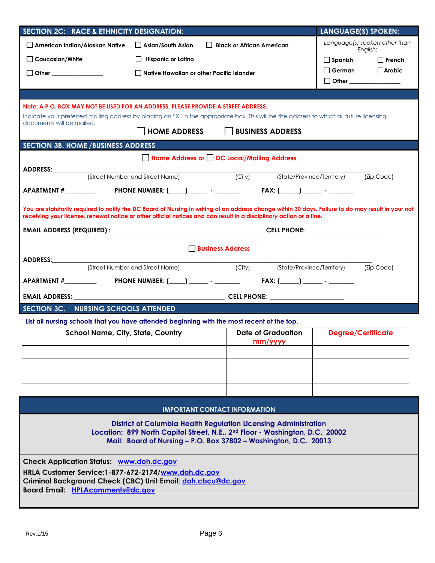| SECTION 2C: RACE & ETHNICITY DESIGNATION:                                                                                                                                                                                                                                  |                                             |                                      | <b>LANGUAGE(S) SPOKEN:</b>                |  |  |  |  |
|----------------------------------------------------------------------------------------------------------------------------------------------------------------------------------------------------------------------------------------------------------------------------|---------------------------------------------|--------------------------------------|-------------------------------------------|--|--|--|--|
| $\Box$ American Indian/Alaskan Native                                                                                                                                                                                                                                      | $\Box$ Asian/South Asian                    | Black or African American            | Language(s) spoken other than<br>English: |  |  |  |  |
| $\Box$ Caucasian/White                                                                                                                                                                                                                                                     | <b>Hispanic or Latino</b>                   |                                      | $\Box$ Spanish<br>$\Box$ French           |  |  |  |  |
| $\Box$ Other                                                                                                                                                                                                                                                               | □ Native Hawaiian or other Pacific Islander |                                      | German <b>Arabic</b>                      |  |  |  |  |
|                                                                                                                                                                                                                                                                            |                                             |                                      | □ Other ________________                  |  |  |  |  |
|                                                                                                                                                                                                                                                                            |                                             |                                      |                                           |  |  |  |  |
| Note: A P.O. BOX MAY NOT BE USED FOR AN ADDRESS. PLEASE PROVIDE A STREET ADDRESS.                                                                                                                                                                                          |                                             |                                      |                                           |  |  |  |  |
| Indicate your preferred mailing address by placing an "X" in the appropriate box. This will be the address to which all future licensing<br>documents will be mailed.                                                                                                      |                                             |                                      |                                           |  |  |  |  |
|                                                                                                                                                                                                                                                                            | $\Box$ HOME ADDRESS                         | BUSINESS ADDRESS                     |                                           |  |  |  |  |
| <b>SECTION 3B. HOME / BUSINESS ADDRESS</b>                                                                                                                                                                                                                                 |                                             |                                      |                                           |  |  |  |  |
|                                                                                                                                                                                                                                                                            | Home Address or DDC Local/Mailing Address   |                                      |                                           |  |  |  |  |
| ADDRESS:<br>{Street Number and Street Name} (City)                                                                                                                                                                                                                         |                                             |                                      | (State/Province/Territory) (Zip Code)     |  |  |  |  |
|                                                                                                                                                                                                                                                                            |                                             |                                      |                                           |  |  |  |  |
|                                                                                                                                                                                                                                                                            |                                             |                                      |                                           |  |  |  |  |
| You are statutorily required to notify the DC Board of Nursing in writing of an address change within 30 days. Failure to do may result in your not<br>receiving your license, renewal notice or other official notices and can result in a disciplinary action or a fine. |                                             |                                      |                                           |  |  |  |  |
|                                                                                                                                                                                                                                                                            |                                             |                                      |                                           |  |  |  |  |
|                                                                                                                                                                                                                                                                            | <b>Business Address</b>                     |                                      |                                           |  |  |  |  |
| ADDRESS:____________                                                                                                                                                                                                                                                       |                                             |                                      |                                           |  |  |  |  |
|                                                                                                                                                                                                                                                                            | (Street Number and Street Name)             | $\overline{$ (City)                  | (State/Province/Territory) (Zip Code)     |  |  |  |  |
|                                                                                                                                                                                                                                                                            |                                             |                                      |                                           |  |  |  |  |
|                                                                                                                                                                                                                                                                            |                                             |                                      |                                           |  |  |  |  |
| SECTION 3C. NURSING SCHOOLS ATTENDED                                                                                                                                                                                                                                       |                                             |                                      |                                           |  |  |  |  |
| List all nursing schools that you have attended beginning with the most recent at the top.                                                                                                                                                                                 |                                             |                                      |                                           |  |  |  |  |
| <b>School Name, City, State, Country</b>                                                                                                                                                                                                                                   |                                             | <b>Date of Graduation</b><br>mm/vvvv | <b>Degree/Certificate</b>                 |  |  |  |  |
|                                                                                                                                                                                                                                                                            |                                             |                                      |                                           |  |  |  |  |
|                                                                                                                                                                                                                                                                            |                                             |                                      |                                           |  |  |  |  |
|                                                                                                                                                                                                                                                                            |                                             |                                      |                                           |  |  |  |  |
|                                                                                                                                                                                                                                                                            |                                             |                                      |                                           |  |  |  |  |
|                                                                                                                                                                                                                                                                            | <b>IMPORTANT CONTACT INFORMATION</b>        |                                      |                                           |  |  |  |  |
|                                                                                                                                                                                                                                                                            |                                             |                                      |                                           |  |  |  |  |
| <b>District of Columbia Health Regulation Licensing Administration</b><br>Location: 899 North Capitol Street, N.E., 2nd Floor - Washington, D.C. 20002                                                                                                                     |                                             |                                      |                                           |  |  |  |  |
| Mail: Board of Nursing - P.O. Box 37802 - Washington, D.C. 20013                                                                                                                                                                                                           |                                             |                                      |                                           |  |  |  |  |
| <b>Check Application Status: www.doh.dc.gov</b>                                                                                                                                                                                                                            |                                             |                                      |                                           |  |  |  |  |
| HRLA Customer Service: 1-877-672-2174/www.doh.dc.gov                                                                                                                                                                                                                       |                                             |                                      |                                           |  |  |  |  |
| Criminal Background Check (CBC) Unit Email: doh.cbcu@dc.gov<br><b>Board Email: HPLAcomments@dc.gov</b>                                                                                                                                                                     |                                             |                                      |                                           |  |  |  |  |
|                                                                                                                                                                                                                                                                            |                                             |                                      |                                           |  |  |  |  |
|                                                                                                                                                                                                                                                                            |                                             |                                      |                                           |  |  |  |  |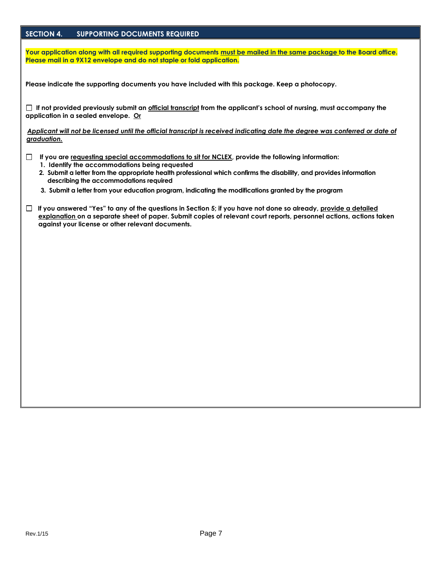# **SECTION 4. SUPPORTING DOCUMENTS REQUIRED**

**Your application along with all required supporting documents must be mailed in the same package to the Board office. Please mail in a 9X12 envelope and do not staple or fold application.** 

**Please indicate the supporting documents you have included with this package. Keep a photocopy.**

 **If not provided previously submit an official transcript from the applicant's school of nursing, must accompany the application in a sealed envelope. Or**

Applicant will not be licensed until the official transcript is received indicating date the degree was conferred or date of *graduation.*

- **If you are requesting special accommodations to sit for NCLEX, provide the following information:**
	- **1. Identify the accommodations being requested**
	- **2. Submit a letter from the appropriate health professional which confirms the disability, and provides information describing the accommodations required**
	- **3. Submit a letter from your education program, indicating the modifications granted by the program**
- **If you answered "Yes" to any of the questions in Section 5; if you have not done so already, provide a detailed explanation on a separate sheet of paper. Submit copies of relevant court reports, personnel actions, actions taken against your license or other relevant documents.**